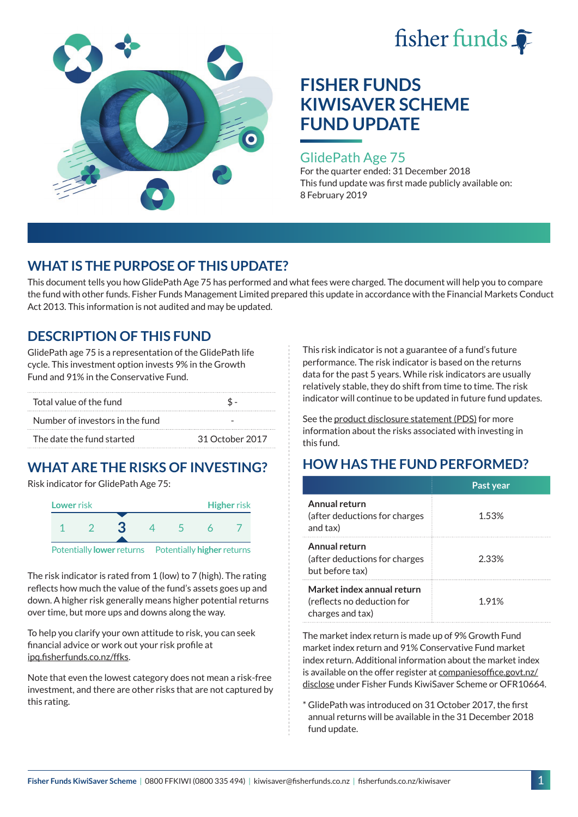



### GlidePath Age 75

For the quarter ended: 31 December 2018 This fund update was first made publicly available on: 8 February 2019

## **WHAT IS THE PURPOSE OF THIS UPDATE?**

This document tells you how GlidePath Age 75 has performed and what fees were charged. The document will help you to compare the fund with other funds. Fisher Funds Management Limited prepared this update in accordance with the Financial Markets Conduct Act 2013. This information is not audited and may be updated.

## **DESCRIPTION OF THIS FUND**

GlidePath age 75 is a representation of the GlidePath life cycle. This investment option invests 9% in the Growth Fund and 91% in the Conservative Fund.

| Total value of the fund         |                 |  |  |
|---------------------------------|-----------------|--|--|
| Number of investors in the fund |                 |  |  |
| The date the fund started       | 31 October 2017 |  |  |

# **WHAT ARE THE RISKS OF INVESTING?**

Risk indicator for GlidePath Age 75:



The risk indicator is rated from 1 (low) to 7 (high). The rating

reflects how much the value of the fund's assets goes up and down. A higher risk generally means higher potential returns over time, but more ups and downs along the way.

To help you clarify your own attitude to risk, you can seek financial advice or work out your risk profile at [ipq.fisherfunds.co.nz/ffks](https://ipq.fisherfunds.co.nz/ffks).

Note that even the lowest category does not mean a risk-free investment, and there are other risks that are not captured by this rating.

This risk indicator is not a guarantee of a fund's future performance. The risk indicator is based on the returns data for the past 5 years. While risk indicators are usually relatively stable, they do shift from time to time. The risk indicator will continue to be updated in future fund updates.

See the [product disclosure statement \(PDS\)](https://fisherfunds.co.nz/assets/PDS/Fisher-Funds-KiwiSaver-Scheme-PDS.pdf) for more information about the risks associated with investing in this fund.

# **HOW HAS THE FUND PERFORMED?**

|                                                                              | Past year |
|------------------------------------------------------------------------------|-----------|
| Annual return<br>(after deductions for charges)<br>and tax)                  | 1.53%     |
| Annual return<br>(after deductions for charges<br>but before tax)            | 2.33%     |
| Market index annual return<br>(reflects no deduction for<br>charges and tax) | 1.91%     |

The market index return is made up of 9% Growth Fund market index return and 91% Conservative Fund market index return. Additional information about the market index is available on the offer register at [companiesoffice.govt.nz/](http://companiesoffice.govt.nz/disclose) [disclose](http://companiesoffice.govt.nz/disclose) under Fisher Funds KiwiSaver Scheme or OFR10664.

\* GlidePath was introduced on 31 October 2017, the first annual returns will be available in the 31 December 2018 fund update.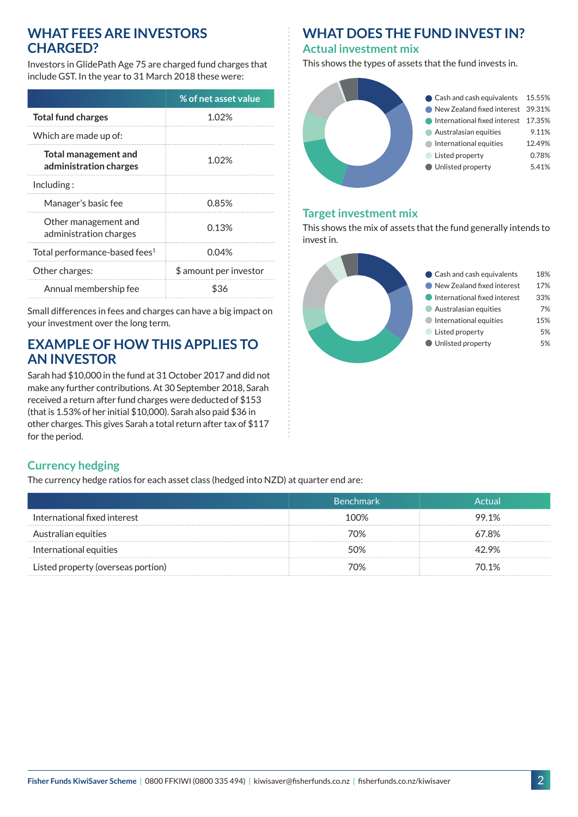### **WHAT FEES ARE INVESTORS CHARGED?**

Investors in GlidePath Age 75 are charged fund charges that include GST. In the year to 31 March 2018 these were:

|                                                       | % of net asset value   |
|-------------------------------------------------------|------------------------|
| <b>Total fund charges</b>                             | 1.02%                  |
| Which are made up of:                                 |                        |
| <b>Total management and</b><br>administration charges | 1.02%                  |
| Including:                                            |                        |
| Manager's basic fee                                   | 0.85%                  |
| Other management and<br>administration charges        | 0.13%                  |
| Total performance-based fees <sup>1</sup>             | 0.04%                  |
| Other charges:                                        | \$ amount per investor |
| Annual membership fee                                 |                        |

Small differences in fees and charges can have a big impact on your investment over the long term.

## **EXAMPLE OF HOW THIS APPLIES TO AN INVESTOR**

Sarah had \$10,000 in the fund at 31 October 2017 and did not make any further contributions. At 30 September 2018, Sarah received a return after fund charges were deducted of \$153 (that is 1.53% of her initial \$10,000). Sarah also paid \$36 in other charges. This gives Sarah a total return after tax of \$117 for the period.

## **WHAT DOES THE FUND INVEST IN?**

#### **Actual investment mix**

This shows the types of assets that the fund invests in.



#### **Target investment mix**

This shows the mix of assets that the fund generally intends to invest in.



### **Currency hedging**

The currency hedge ratios for each asset class (hedged into NZD) at quarter end are:

|                                    | <b>Benchmark</b> |       |
|------------------------------------|------------------|-------|
| International fixed interest       | 100%             | 99.1% |
| Australian equities                | 70%              | 57.8% |
| International equities             | ነበ%              | ን 9%  |
| Listed property (overseas portion) | 7ሰ%              | 70.1% |